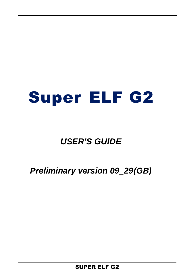# Super ELF G2

## *USER'S GUIDE*

## *Preliminary version 09\_29(GB)*

SUPER ELF G2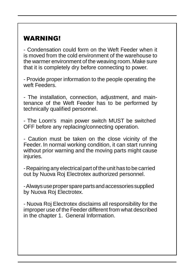## WARNING!

- Condensation could form on the Weft Feeder when it is moved from the cold environment of the warehouse to the warmer environment of the weaving room.Make sure that it is completely dry before connecting to power.

- Provide proper information to the people operating the weft Feeders.

- The installation, connection, adjustment, and maintenance of the Weft Feeder has to be performed by technically qualified personnel.

- The Loom's main power switch MUST be switched OFF before any replacing/connecting operation.

- Caution must be taken on the close vicinity of the Feeder. In normal working condition, it can start running without prior warning and the moving parts might cause injuries.

- Repairing any electrical part of the unit has to be carried out by Nuova Roj Electrotex authorized personnel.

- Always use proper spare parts and accessories supplied by Nuova Roj Electrotex.

- Nuova Roj Electrotex disclaims all responsibility for the improper use of the Feeder different from what described in the chapter 1. General Information.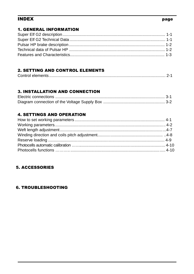#### **INDEX**

#### page

#### **1. GENERAL INFORMATION**

#### **2. SETTING AND CONTROL ELEMENTS**

|--|

#### **3. INSTALLATION AND CONNECTION**

#### **4. SETTINGS AND OPERATION**

#### **5. ACCESSORIES**

#### **6. TROUBLESHOOTING**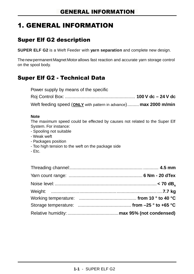## 1. GENERAL INFORMATION

## Super Elf G2 description

**SUPER ELF G2** is a Weft Feeder with **yarn separation** and complete new design.

Thenewpermanent Magnet Motorallows fast reaction and accurate yarn storage control on the spool body.

## Super Elf G2 - Technical Data

Power supply by means of the specific Roj Control Box: ....................................................... **100 V dc – 24 V dc** Weft feeding speed (**ONLY** with pattern in advance)......... **max 2000 m/min**

#### **Note**

The maximum speed could be effected by causes not related to the Super Elf System. For instance:

- Spooling not suitable
- Weak weft
- Packages position
- Too high tension to the weft on the package side
- Etc.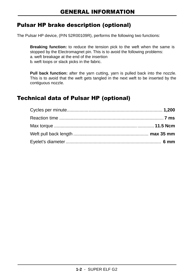## Pulsar HP brake description (optional)

The Pulsar HP device, (P/N 52R00109R), performs the following two functions:

**Breaking function:** to reduce the tension pick to the weft when the same is stopped by the Electromagnet pin. This is to avoid the following problems: a. weft breakage at the end of the insertion b. weft loops or slack picks in the fabric.

**Pull back function:** after the yarn cutting, yarn is pulled back into the nozzle. This is to avoid that the weft gets tangled in the next weft to be inserted by the contiguous nozzle.

## Technical data of Pulsar HP (optional)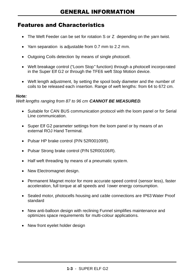## Features and Characteristics

- The Weft Feeder can be set for rotation S or Z depending on the yarn twist.
- Yarn separation is adjustable from 0.7 mm to 2.2 mm.
- Outgoing Coils detection by means of single photocell.
- Weft breakage control ("Loom Stop" function) through a photocell incorporated in the Super Elf G2 or through the TFE6 weft Stop Motion device.
- Weft length adjustment, by setting the spool body diameter and the number of coils to be released each insertion. Range of weft lengths: from 64 to 672 cm.

#### *Note:*

*Weft lengths ranging from 87 to 96 cm CANNOT BE MEASURED.*

- Suitable for CAN BUS communication protocol with the loom panel or for Serial Line communication.
- Super Elf G2 parameter settings from the loom panel or by means of an external ROJ Hand Terminal
- Pulsar HP brake control (P/N 52R00109R).
- Pulsar Strong brake control (P/N 52R00106R).
- Half weft threading by means of a pneumatic system.
- New Electromagnet design.
- Permanent Magnet motor for more accurate speed control (sensor less), faster acceleration, full torque at all speeds and lower energy consumption.
- Sealed motor, photocells housing and cable connections are IP63 Water Proof standard
- New anti-balloon design with reclining Funnel simplifies maintenance and optimizes space requirements for multi-colour applications.
- New front eyelet holder design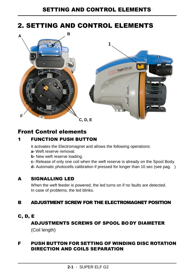## 2. SETTING AND CONTROL ELEMENTS



## Front Control elements

## 1 FUNCTION PUSH BUTTON

It activates the Electromagnet and allows the following operations:

- **a-** Weft reserve removal.
- **b-** New weft reserve loading.
- **c-** Release of only one coil when the weft reserve is already on the Spool Body.
- **d-** Automatic photocells calibration if pressed for longer than 10 sec (see pag. )

### A SIGNALLING LED

When the weft feeder is powered, the led turns on if no faults are detected. In case of problems, the led blinks.

### B ADJUSTMENT SCREW FOR THE ELECTROMAGNET POSITION

#### C, D, E

## ADJUSTMENTS SCREWS OF SPOOL BO DY DIAMETER (Coil length)

## F PUSH BUTTON FOR SETTING OF WINDING DISC ROTATION DIRECTION AND COILS SEPARATION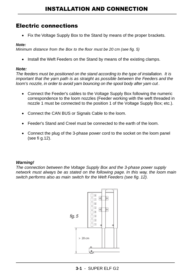## Electric connections

• Fix the Voltage Supply Box to the Stand by means of the proper brackets.

#### *Note:*

*Minimum distance from the Box to the floor must be 20 cm (see fig. 5)*

• Install the Weft Feeders on the Stand by means of the existing clamps.

#### *Note:*

*The feeders must be positioned on the stand according to the type of installation. It is important that the yarn path is as straight as possible between the Feeders and the loom's nozzle, in order to avoid yarn bouncing on the spool body after yarn cut .*

- Connect the Feeder's cables to the Voltage Supply Box following the numeric correspondence to the loom nozzles (Feeder working with the weft threaded in nozzle 1 must be connected to the position 1 of the Voltage Supply Box; etc.).
- Connect the CAN BUS or Signals Cable to the loom.
- Feeder's Stand and Creel must be connected to the earth of the loom.
- Connect the plug of the 3-phase power cord to the socket on the loom panel (see fi g.12).

#### *Warning!*

*The connection between the Voltage Supply Box and the 3-phase power supply network must always be as stated on the following page. In this way, the loom main switch performs also as main switch for the Weft Feeders (see fig. 12).*

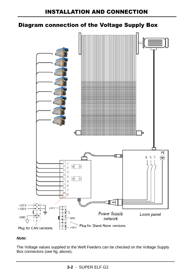## Diagram connection of the Voltage Supply Box



#### *Note:*

The Voltage values supplied to the Weft Feeders can be checked on the Voltage Supply Box connectors (see fig. above).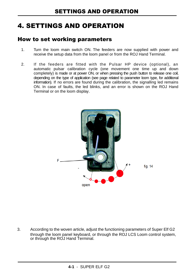## 4. SETTINGS AND OPERATION

## How to set working parameters

- 1. Turn the loom main switch ON. The feeders are now supplied with power and receive the setup data from the loom panel or from the ROJ Hand Terminal.
- 2. If the feeders are fitted with the Pulsar HP device (optional), an automatic pulsar calibration cycle (one movement one time up and down completely) is made or at power ON, or when pressing the push button to release one coil, depending on the type of application (see page related to parameter loom type, for additional information). If no errors are found during the calibration, the signalling led remains ON. In case of faults, the led blinks, and an error is shown on the ROJ Hand Terminal or on the loom display.



3. According to the woven article, adjust the functioning parameters of Super Elf G2 through the loom panel keyboard, or through the ROJ LCS Loom control system, or through the ROJ Hand Terminal.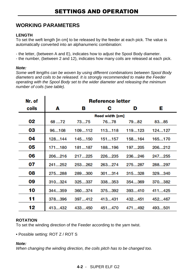## **WORKING PARAMETERS**

#### **LENGTH**

To set the weft length [in cm] to be released by the feeder at each pick. The value is automatically converted into an alphanumeric combination:

- the letter, (between A and E), indicates how to adjust the Spool Body diameter.

- the number, (between 2 and 12), indicates how many coils are released at each pick.

#### *Note:*

*Some weft lengths can be woven by using different combinations between Spool Body diameters and coils to be released. It is strongly recommended to make the Feeder operating with the Spool Body set to the wider diameter and releasing the minimum number of coils (see table).*

| Nr. of | <b>Reference letter</b> |        |        |        |        |
|--------|-------------------------|--------|--------|--------|--------|
| coils  | A                       | в      | С      | D      | E.     |
|        | <b>Reed width [cm]</b>  |        |        |        |        |
| 02     | 6872                    | 7375   | 7678   | 7982   | 8385   |
| 03     | 96108                   | 109112 | 113118 | 119123 | 124127 |
| 04     | 128144                  | 145150 | 151157 | 158164 | 165170 |
| 05     | 171180                  | 181187 | 188196 | 197205 | 206212 |
| 06     | 206216                  | 217225 | 226235 | 236246 | 247255 |
| 07     | 241252                  | 253262 | 263274 | 275287 | 288297 |
| 08     | 275288                  | 289300 | 301314 | 315328 | 329340 |
| 09     | 310324                  | 325337 | 338353 | 354369 | 370382 |
| 10     | 344359                  | 360374 | 375392 | 393410 | 411425 |
| 11     | 378396                  | 397412 | 413431 | 432451 | 452467 |
| 12     | 413432                  | 433450 | 451470 | 471492 | 493501 |

#### **ROTATION**

To set the winding direction of the Feeder according to the yarn twist.

• Possible setting: ROT Z / ROT S

#### *Note:*

*When changing the winding direction, the coils pitch has to be changed too.*

#### **4-2** - SUPER ELF G2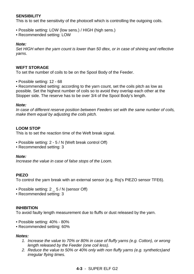#### **SENSIBILITY**

This is to set the sensitivity of the photocell which is controlling the outgoing coils.

- Possible setting: LOW (low sens.) / HIGH (high sens.)
- Recommended setting: LOW

#### *Note:*

*Set HIGH when the yarn count is lower than 50 dtex, or in case of shining and reflective yarns*.

#### **WEFT STORAGE**

To set the number of coils to be on the Spool Body of the Feeder.

• Possible setting: 12 - 68

• Recommended setting: according to the yarn count, set the coils pitch as low as possible. Set the highest number of coils so to avoid they overlap each other at the Stopper side. The reserve has to be over 3/4 of the Spool Body's length.

#### *Note:*

*In case of different reserve position between Feeders set with the same number of coils, make them equal by adjusting the coils pitch.*

#### **LOOM STOP**

This is to set the reaction time of the Weft break signal.

- Possible setting: 2 5 / N (Weft break control Off)
- Recommended setting: 3

#### *Note:*

*Increase the value in case of false stops of the Loom.*

#### **PIEZO**

To control the yarn break with an external sensor (e.g. Roj's PIEZO sensor TFE6).

- Possible setting: 2 \_ 5 / N (sensor Off)
- Recommended setting: 3

#### **INHIBITION**

To avoid faulty length measurement due to fluffs or dust released by the yarn.

- Possible setting: 40% 80%
- Recommended setting: 60%

#### *Notes:*

- *1. Increase the value to 70% or 80% in case of fluffy yarns (e.g. Cotton), or wrong length released by the Feeder (one coil less).*
- *2. Reduce the value to 50% or 40% only with non fluffy yarns (e.g. synthetics)and irregular flying times.*

#### **4-3** - SUPER ELF G2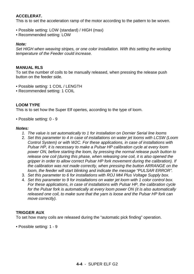#### **ACCELERAT.**

This is to set the acceleration ramp of the motor according to the pattern to be woven.

- Possible setting: LOW (standard) / HIGH (max)
- Recommended setting: LOW

#### *Note:*

*Set HIGH when weaving stripes, or one color installation. With this setting the working temperature of the Feeder could increase.*

#### **MANUAL RLS**

To set the number of coils to be manually released, when pressing the release push button on the feeder side.

- Possible setting: 1 COIL / LENGTH
- Recommended setting: 1 COIL

#### **LOOM TYPE**

This is to set how the Super Elf opertes, according to the type of loom.

• Possible setting: 0 - 9

#### *Notes:*

- *1. The value is set automatically to 1 for installation on Dornier Serial line looms*
- 2. *Set this parameter to 4 in case of installations on water jet looms with LCSW (Loom Control System) or with W2C. For these applications, in case of installations with Pulsar HP, it is necessary to make a Pulsar HP calibration cycle at every loom power ON, before starting the loom, by pressing the normal release push button to release one coil (during this phase, when releasing one coil, it is also opened the gripper in order to allow correct Pulsar HP fork movement during the calibration). If the calibration was not made correctly, when pressing the button ARRANGE on the loom, the feeder will start blinking and indicate the message "PULSAR ERROR".*
- 3. *Set this parameter to 6 for installations with ROJ Mt4 Plus Voltage Supply box.*
- 4. *Set this parameter to 9 for installations on water jet loom with 1 color control box. For these applications, in case of installations with Pulsar HP, the calibration cycle for the Pulsar fork is automatically at every loom power ON (it is also automatically released one coil, to make sure that the yarn is loose and the Pulsar HP fork can move correctly).*

#### **TRIGGER AUX**

To set how many coils are released during the "automatic pick finding" operation.

• Possible setting: 1 - 9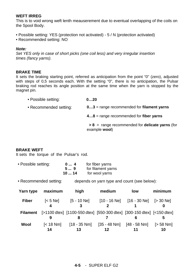#### **WEFT IRREG**

This is to void wrong weft lenth meauserement due to eventual overlapping of the coils on the Spool Body.

- Possible setting: YES (protection not activated) 5 / N (protection activated)
- Recommended setting: NO

#### *Note:*

*Set YES only in case of short picks (one coil less) and very irregular insertion times (fancy yarns).*

#### **BRAKE TIME**

It sets the braking starting point, referred as anticipation from the point "0" (zero), adjusted with steps of 0,5 seconds each. With the setting "0", there is no anticipation, the Pulsar braking rod reaches its angle position at the same time when the yarn is stopped by the magnet pin.

| • Possible setting:    | 020                                                                |  |  |
|------------------------|--------------------------------------------------------------------|--|--|
| • Recommended setting: | $03$ = range recommended for filament yarns                        |  |  |
|                        | $48$ = range recommended for fiber yarns                           |  |  |
|                        | $> 8$ = range recommended for delicate yarns (for<br>example wool) |  |  |

#### **BRAKE WEFT**

It sets the torque of the Pulsar's rod.

| • Possible setting: | 04     | for fiber yarns    |
|---------------------|--------|--------------------|
|                     | 5…9    | for filament yarns |
|                     | 10  14 | for wool yarns     |

• Recommended setting: depends on yarn type and count (see below):

| Yarn type       | maximum                                 | high                                                                        | medium                                        | low | minimum           |
|-----------------|-----------------------------------------|-----------------------------------------------------------------------------|-----------------------------------------------|-----|-------------------|
| <b>Fiber</b>    | $\mathsf{[} < 5 \mathsf{Ne} \mathsf{]}$ | [5-10 Ne]                                                                   | $[10 - 16$ Ne] $[16 - 30$ Ne] $[> 30$ Ne]     |     |                   |
| <b>Filament</b> |                                         | [>1100 dtex] [1100-550 dtex] [550-300 dtex] [300-150 dtex] [<150 dtex]<br>8 |                                               |     |                   |
| Wool            | 14                                      | $\left[ < 18 \text{ Nm} \right]$ $\left[ 18 - 35 \text{ Nm} \right]$<br>13  | $[35 - 48 \text{ Nm}]$ $[48 - 58 \text{ Nm}]$ |     | $[> 58$ Nm]<br>10 |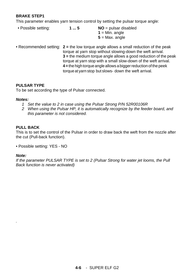#### **BRAKE STEP1**

This parameter enables yarn tension control by setting the pulsar torque angle:

- Possible setting: **1 ... 5 NO** = pulsar disabled  $1 = Min$ . angle  $5 = Max$ . angle
- Recommended setting: **2 =** the low torque angle allows a small reduction of the peak torque at yarn stop without slowing-down the weft arrival. **3 =** the medium torque angle allows a good reduction of the peak torque at yarn stop with a small slow-down of the weft arrival. **4 =** the high torque angle allows a biggerreduction of the peek torque at yarn stop but slows- down the weft arrival.

#### **PULSAR TYPE**

To be set according the type of Pulsar connected.

#### *Notes:*

- *1 Set the value to 2 in case using the Pulsar Strong P/N 52R00106R*
- *2 When using the Pulsar HP, it is automatically recognize by the feeder board, and this parameter is not considered.*

#### **PULL BACK**

This is to set the control of the Pulsar in order to draw back the weft from the nozzle after the cut (Pull-back function).

• Possible setting: YES - NO

#### *Note:*

*.*

*If the parameter PULSAR TYPE is set to 2 (Pulsar Strong for water jet looms, the Pull Back function is never activated)*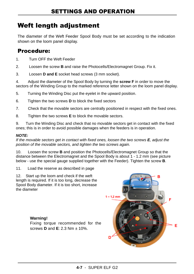## Weft length adjustment

The diameter of the Weft Feeder Spool Body must be set according to the indication shown on the loom panel display.

## Procedure:

- 1. Turn OFF the Weft Feeder
- 2. Loosen the screw **B** and raise the Photocells/Electromagnet Group. Fix it.
- 3. Loosen **D and E** socket head screws (3 mm socket).

4. Adjust the diameter of the Spool Body by turning the **screw F** in order to move the sectors of the Winding Group to the marked reference letter shown on the loom panel display.

- 5. Turning the Winding Disc put the eyelet in the upward position.
- 6. Tighten the two screws **D** to block the fixed sectors
- 7. Check that the movable sectors are centrally positioned in respect with the fixed ones.
- 8. Tighten the two screws **E** to block the movable sectors.

9. Turn the Winding Disc and check that no movable sectors get in contact with the fixed ones; this is in order to avoid possible damages when the feeders is in operation.

#### *NOTE:*

*If the movable sectors get in contact with fixed ones, loosen the two screws E, adjust the position of the movable sectors, and tighten the two screws again.*

10. Loosen the screw **B** and position the Photocells/Electromagnet Group so that the distance between the Electromagnet and the Spool Body is about 1 - 1.2 mm (see picture below - use the special gauge supplied together with the Feeder). Tighten the screw **B**.

11. Load the reserve as described in page

12. Start up the loom and check if the weft length is required. If it is too long, decrease the Spool Body diameter. If it is too short, increase the diameter

#### **Warning!**

Fixing torque recommended for the screws **D** and **E**: 2.3 Nm ± 10%.

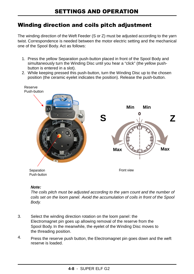## Winding direction and coils pitch adjustment

The winding direction of the Weft Feeder (S or Z) must be adjusted according to the yarn twist. Correspondence is needed between the motor electric setting and the mechanical one of the Spool Body. Act as follows:

- 1. Press the yellow Separation push-button placed in front of the Spool Body and simultaneously turn the Winding Disc until you hear a "click" (the yellow pushbutton is entered in a slot).
- 2. While keeping pressed this push-button, turn the Winding Disc up to the chosen position (the ceramic eyelet indicates the position). Release the push-button.



#### *Note:*

*The coils pitch must be adjusted according to the yarn count and the number of coils set on the loom panel. Avoid the accumulation of coils in front of the Spool Body.*

- 3. Select the winding direction rotation on the loom panel: the Electromagnet pin goes up allowing removal of the reserve from the Spool Body. In the meanwhile, the eyelet of the Winding Disc moves to the threading position.
- 4. Press the reserve push button, the Electromagnet pin goes down and the weft reserve is loaded.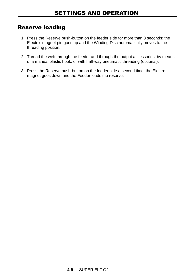## Reserve loading

- 1. Press the Reserve push-button on the feeder side for more than 3 seconds: the Electro- magnet pin goes up and the Winding Disc automatically moves to the threading position.
- 2. Thread the weft through the feeder and through the output accessories, by means of a manual plastic hook, or with half-way pneumatic threading (optional).
- 3. Press the Reserve push-button on the feeder side a second time: the Electromagnet goes down and the Feeder loads the reserve.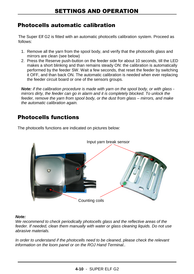## Photocells automatic calibration

The Super Elf G2 is fitted with an automatic photocells calibration system. Proceed as follows:

- 1. Remove all the yarn from the spool body, and verify that the photocells glass and mirrors are clean (see below)
- 2. Press the Reserve push-button on the feeder side for about 10 seconds, till the LED makes a short blinking and than remains steady ON: the calibration is automatically performed by the feeder SW. Wait a few seconds, that reset the feeder by switching it OFF, and than back ON. The automatic calibration is needed when ever replacing the feeder circuit board or one of the sensors groups.

*Note: if the calibration procedure is made with yarn on the spool body, or with glass mirrors dirty, the feeder can go in alarm and it is completely blocked. To unlock the feeder, remove the yarn from spool body, or the dust from glass – mirrors, and make the automatic calibration again.*

## Photocells functions



The photocells functions are indicated on pictures below:

#### *Note:*

*We recommend to check periodically photocells glass and the reflective areas of the feeder. If needed, clean them manually with water or glass cleaning liquids. Do not use abrasive materials.*

*In order to understand if the photocells need to be cleaned, please check the relevant information on the loom panel or on the ROJ Hand Terminal..*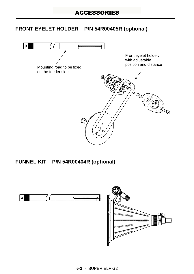## **FRONT EYELET HOLDER – P/N 54R00405R (optional)**



**FUNNEL KIT – P/N 54R00404R (optional)**

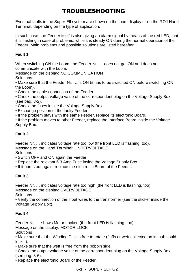Eventual faults in the Super Elf system are shown on the loom display or on the ROJ Hand Terminal, depending on the type of application.

In such case, the Feeder itself is also giving an alarm signal by means of the red LED, that it is flashing in case of problems, while it is steady ON during the normal operation of the Feeder. Main problems and possible solutions are listed hereafter.

#### **Fault 1**

When switching ON the Loom, the Feeder Nr. ... does not get ON and does not communicate with the Loom.

Message on the display: NO COMMUNICATION **Solutions** 

• Make sure that the Feeder Nr. … is ON (it has to be switched ON before switching ON the Loom).

• Check the cable connection of the Feeder.

• Check the output voltage value of the correspondent plug on the Voltage Supply Box (see pag. 3-2).

- Check the fuses inside the Voltage Supply Box
- Exchange position of the faulty Feeder.
- If the problem stays with the same Feeder, replace its electronic Board.

• If the problem moves to other Feeder, replace the Interface Board inside the Voltage Supply Box.

#### **Fault 2**

Feeder Nr. … indicates voltage rate too low (the front LED is flashing, too). Message on the Hand Terminal: UNDERVOLTAGE **Solutions** 

• Switch OFF and ON again the Feeder.

- Replace the relevant 6.3 Amp Fuse inside the Voltage Supply Box.
- If it burns out again, replace the electronic Board of the Feeder.

#### **Fault 3**

Feeder Nr. … indicates voltage rate too high (the front LED is flashing, too). Message on the display: OVERVOLTAGE

**Solutions** 

• Verify the connection of the input wires to the transformer (see the sticker inside the Voltage Supply Box).

#### **Fault 4**

Feeder Nr. … shows Motor Locked (the front LED is flashing, too).

Message on the display: MOTOR LOCK

**Solutions** 

• Make sure that the Winding Disc is free to rotate (fluffs or weft collected on its hub could lock it).

• Make sure that the weft is free from the bobbin side.

• Check the output voltage value of the correspondent plug on the Voltage Supply Box (see pag. 3-6).

• Replace the electronic Board of the Feeder.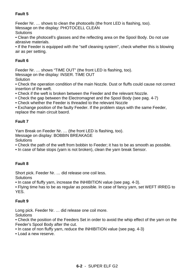#### **Fault 5**

Feeder Nr. … shows to clean the photocells (the front LED is flashing, too).

Message on the display: PHOTOCELL CLEAN

**Solutions** 

• Clean the photocell's glasses and the reflecting area on the Spool Body. Do not use abrasive materials.

• If the Feeder is equipped with the "self cleaning system", check whether this is blowing air as per setting.

#### **Fault 6**

Feeder Nr. … shows "TIME OUT" (the front LED is flashing, too).

Message on the display: INSER. TIME OUT

**Solution** 

• Check the operation condition of the main Nozzle. Dust or fluffs could cause not correct insertion of the weft.

• Check if the weft is broken between the Feeder and the relevant Nozzle.

• Check the gap between the Electromagnet and the Spool Body (see pag. 4-7)

• Check whether the Feeder is threaded to the relevant Nozzle

• Exchange position of the faulty Feeder. If the problem stays with the same Feeder, replace the main circuit baord.

#### **Fault 7**

Yarn Break on Feeder Nr. … (the front LED is flashing, too). Message on display: BOBBIN BREAKAGE **Solutions** 

• Check the path of the weft from bobbin to Feeder; it has to be as smooth as possible.

• In case of false stops (yarn is not broken), clean the yarn break Sensor.

#### **Fault 8**

Short pick. Feeder Nr. … did release one coil less.

**Solutions** 

• In case of fluffy yarn, increase the INHIBITION value (see pag. 4-3).

• Flying time has to be as regular as possible. In case of fancy yarn, set WEFT IRREG to YES.

#### **Fault 9**

Long pick. Feeder Nr. … did release one coil more.

**Solutions** 

• Check the position of the Feeders Set in order to avoid the whip effect of the yarn on the Feeder's Spool Body after the cut.

• In case of non fluffy yarn, reduce the INHIBITION value (see pag. 4-3)

• Load a new reserve.